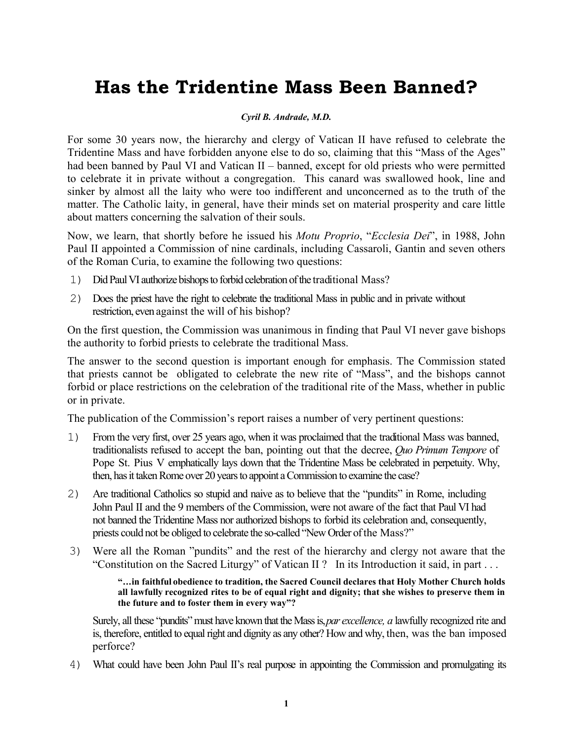## **Has the Tridentine Mass Been Banned?**

## *Cyril B. Andrade, M.D.*

For some 30 years now, the hierarchy and clergy of Vatican II have refused to celebrate the Tridentine Mass and have forbidden anyone else to do so, claiming that this "Mass of the Ages" had been banned by Paul VI and Vatican II – banned, except for old priests who were permitted to celebrate it in private without a congregation. This canard was swallowed hook, line and sinker by almost all the laity who were too indifferent and unconcerned as to the truth of the matter. The Catholic laity, in general, have their minds set on material prosperity and care little about matters concerning the salvation of their souls.

Now, we learn, that shortly before he issued his *Motu Proprio*, "*Ecclesia Dei*", in 1988, John Paul II appointed a Commission of nine cardinals, including Cassaroli, Gantin and seven others of the Roman Curia, to examine the following two questions:

- 1) Did Paul VI authorize bishops to forbid celebration of the traditional Mass?
- 2) Does the priest have the right to celebrate the traditional Mass in public and in private without restriction, even against the will of his bishop?

On the first question, the Commission was unanimous in finding that Paul VI never gave bishops the authority to forbid priests to celebrate the traditional Mass.

The answer to the second question is important enough for emphasis. The Commission stated that priests cannot be obligated to celebrate the new rite of "Mass", and the bishops cannot forbid or place restrictions on the celebration of the traditional rite of the Mass, whether in public or in private.

The publication of the Commission's report raises a number of very pertinent questions:

- 1) From the very first, over 25 years ago, when it was proclaimed that the traditional Mass was banned, traditionalists refused to accept the ban, pointing out that the decree, *Quo Primum Tempore* of Pope St. Pius V emphatically lays down that the Tridentine Mass be celebrated in perpetuity. Why, then, has it taken Rome over 20 years to appoint a Commission to examine the case?
- 2) Are traditional Catholics so stupid and naive as to believe that the "pundits" in Rome, including John Paul II and the 9 members of the Commission, were not aware of the fact that Paul VI had not banned the Tridentine Mass nor authorized bishops to forbid its celebration and, consequently, priests could not be obliged to celebrate the so-called "New Order of the Mass?"
- 3) Were all the Roman "pundits" and the rest of the hierarchy and clergy not aware that the "Constitution on the Sacred Liturgy" of Vatican II ? In its Introduction it said, in part . . .

**" . . . in faithful obedience to tradition, the Sacred Council declares that Holy Mother Church holds all lawfully recognized rites to be of equal right and dignity; that she wishes to preserve them in the future and to foster them in every way"?** 

Surely, all these "pundits" must have known that the Mass is, *par excellence, a* lawfully recognized rite and is, therefore, entitled to equal right and dignity as any other? How and why, then, was the ban imposed perforce?

4) What could have been John Paul II's real purpose in appointing the Commission and promulgating its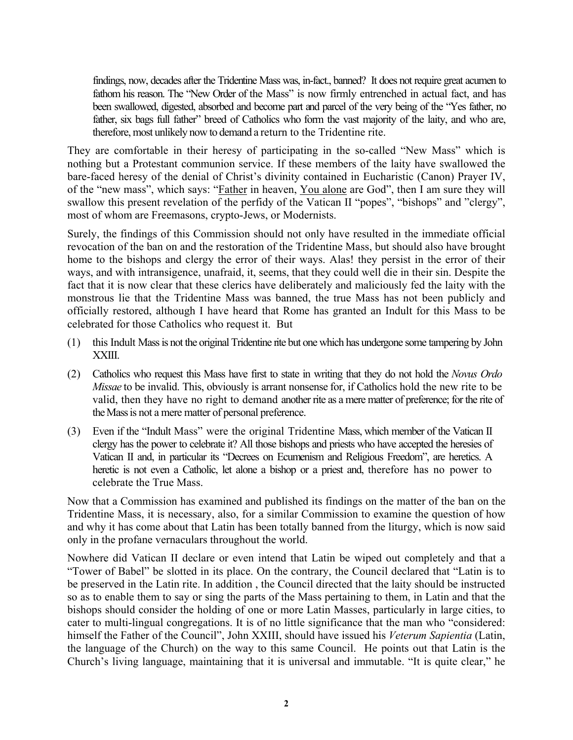findings, now, decades after the Tridentine Mass was, in-fact., banned? It does not require great acumen to fathom his reason. The "New Order of the Mass" is now firmly entrenched in actual fact, and has been swallowed, digested, absorbed and become part and parcel of the very being of the "Yes father, no father, six bags full father" breed of Catholics who form the vast majority of the laity, and who are, therefore, most unlikely now to demand a return to the Tridentine rite.

They are comfortable in their heresy of participating in the so-called "New Mass" which is nothing but a Protestant communion service. If these members of the laity have swallowed the bare-faced heresy of the denial of Christ's divinity contained in Eucharistic (Canon) Prayer IV, of the "new mass", which says: "Father in heaven, You alone are God", then I am sure they will swallow this present revelation of the perfidy of the Vatican II "popes", "bishops" and "clergy", most of whom are Freemasons, crypto-Jews, or Modernists.

Surely, the findings of this Commission should not only have resulted in the immediate official revocation of the ban on and the restoration of the Tridentine Mass, but should also have brought home to the bishops and clergy the error of their ways. Alas! they persist in the error of their ways, and with intransigence, unafraid, it, seems, that they could well die in their sin. Despite the fact that it is now clear that these clerics have deliberately and maliciously fed the laity with the monstrous lie that the Tridentine Mass was banned, the true Mass has not been publicly and officially restored, although I have heard that Rome has granted an Indult for this Mass to be celebrated for those Catholics who request it. But

- (1) this Indult Mass is not the original Tridentine rite but one which has undergone some tampering by John XXIII.
- (2) Catholics who request this Mass have first to state in writing that they do not hold the *Novus Ordo Missae* to be invalid. This, obviously is arrant nonsense for, if Catholics hold the new rite to be valid, then they have no right to demand another rite as a mere matter of preference; for the rite of the Mass is not a mere matter of personal preference.
- (3) Even if the "Indult Mass" were the original Tridentine Mass, which member of the Vatican II clergy has the power to celebrate it? All those bishops and priests who have accepted the heresies of Vatican II and, in particular its "Decrees on Ecumenism and Religious Freedom", are heretics. A heretic is not even a Catholic, let alone a bishop or a priest and, therefore has no power to celebrate the True Mass.

Now that a Commission has examined and published its findings on the matter of the ban on the Tridentine Mass, it is necessary, also, for a similar Commission to examine the question of how and why it has come about that Latin has been totally banned from the liturgy, which is now said only in the profane vernaculars throughout the world.

Nowhere did Vatican II declare or even intend that Latin be wiped out completely and that a "Tower of Babel" be slotted in its place. On the contrary, the Council declared that "Latin is to be preserved in the Latin rite. In addition , the Council directed that the laity should be instructed so as to enable them to say or sing the parts of the Mass pertaining to them, in Latin and that the bishops should consider the holding of one or more Latin Masses, particularly in large cities, to cater to multi-lingual congregations. It is of no little significance that the man who "considered: himself the Father of the Council", John XXIII, should have issued his *Veterum Sapientia* (Latin, the language of the Church) on the way to this same Council. He points out that Latin is the Church's living language, maintaining that it is universal and immutable. "It is quite clear," he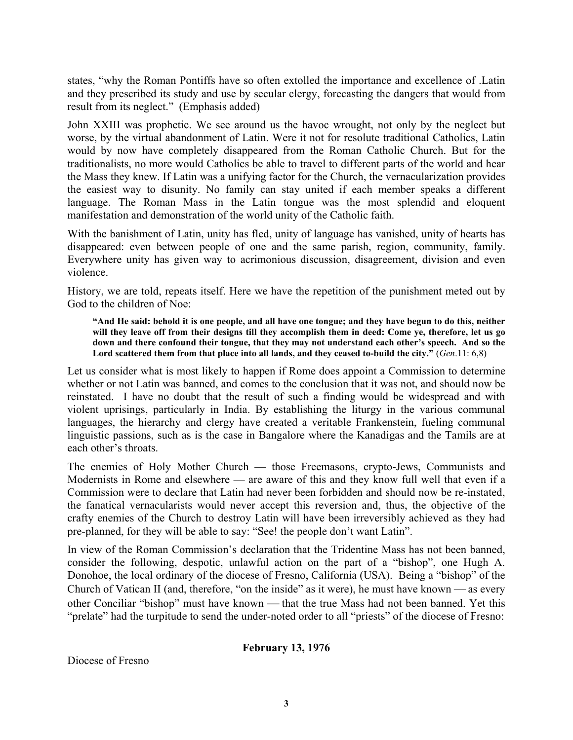states, "why the Roman Pontiffs have so often extolled the importance and excellence of .Latin and they prescribed its study and use by secular clergy, forecasting the dangers that would from result from its neglect." (Emphasis added)

John XXIII was prophetic. We see around us the havoc wrought, not only by the neglect but worse, by the virtual abandonment of Latin. Were it not for resolute traditional Catholics, Latin would by now have completely disappeared from the Roman Catholic Church. But for the traditionalists, no more would Catholics be able to travel to different parts of the world and hear the Mass they knew. If Latin was a unifying factor for the Church, the vernacularization provides the easiest way to disunity. No family can stay united if each member speaks a different language. The Roman Mass in the Latin tongue was the most splendid and eloquent manifestation and demonstration of the world unity of the Catholic faith.

With the banishment of Latin, unity has fled, unity of language has vanished, unity of hearts has disappeared: even between people of one and the same parish, region, community, family. Everywhere unity has given way to acrimonious discussion, disagreement, division and even violence.

History, we are told, repeats itself. Here we have the repetition of the punishment meted out by God to the children of Noe:

**"And He said: behold it is one people, and all have one tongue; and they have begun to do this, neither will they leave off from their designs till they accomplish them in deed: Come ye, therefore, let us go down and there confound their tongue, that they may not understand each other's speech. And so the Lord scattered them from that place into all lands, and they ceased to-build the city."** (*Gen*.11: 6,8)

Let us consider what is most likely to happen if Rome does appoint a Commission to determine whether or not Latin was banned, and comes to the conclusion that it was not, and should now be reinstated. I have no doubt that the result of such a finding would be widespread and with violent uprisings, particularly in India. By establishing the liturgy in the various communal languages, the hierarchy and clergy have created a veritable Frankenstein, fueling communal linguistic passions, such as is the case in Bangalore where the Kanadigas and the Tamils are at each other's throats.

The enemies of Holy Mother Church — those Freemasons, crypto-Jews, Communists and Modernists in Rome and elsewhere — are aware of this and they know full well that even if a Commission were to declare that Latin had never been forbidden and should now be re-instated, the fanatical vernacularists would never accept this reversion and, thus, the objective of the crafty enemies of the Church to destroy Latin will have been irreversibly achieved as they had pre-planned, for they will be able to say: "See! the people don't want Latin".

In view of the Roman Commission's declaration that the Tridentine Mass has not been banned, consider the following, despotic, unlawful action on the part of a "bishop", one Hugh A. Donohoe, the local ordinary of the diocese of Fresno, California (USA). Being a "bishop" of the Church of Vatican II (and, therefore, "on the inside" as it were), he must have known — as every other Conciliar "bishop" must have known — that the true Mass had not been banned. Yet this "prelate" had the turpitude to send the under-noted order to all "priests" of the diocese of Fresno:

## **February 13, 1976**

Diocese of Fresno